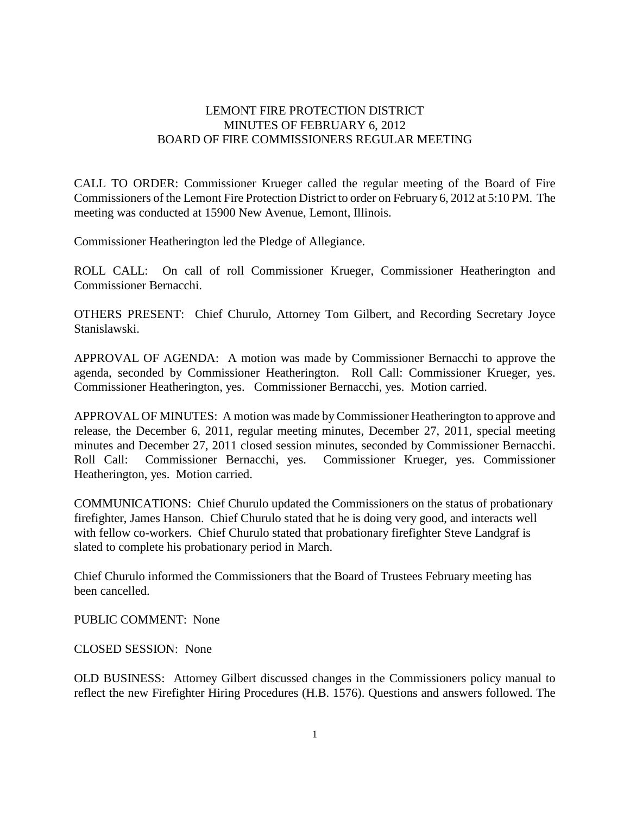## LEMONT FIRE PROTECTION DISTRICT MINUTES OF FEBRUARY 6, 2012 BOARD OF FIRE COMMISSIONERS REGULAR MEETING

CALL TO ORDER: Commissioner Krueger called the regular meeting of the Board of Fire Commissioners of the Lemont Fire Protection District to order on February 6, 2012 at 5:10 PM. The meeting was conducted at 15900 New Avenue, Lemont, Illinois.

Commissioner Heatherington led the Pledge of Allegiance.

ROLL CALL: On call of roll Commissioner Krueger, Commissioner Heatherington and Commissioner Bernacchi.

OTHERS PRESENT: Chief Churulo, Attorney Tom Gilbert, and Recording Secretary Joyce Stanislawski.

APPROVAL OF AGENDA: A motion was made by Commissioner Bernacchi to approve the agenda, seconded by Commissioner Heatherington. Roll Call: Commissioner Krueger, yes. Commissioner Heatherington, yes. Commissioner Bernacchi, yes. Motion carried.

APPROVAL OF MINUTES: A motion was made by Commissioner Heatherington to approve and release, the December 6, 2011, regular meeting minutes, December 27, 2011, special meeting minutes and December 27, 2011 closed session minutes, seconded by Commissioner Bernacchi. Roll Call: Commissioner Bernacchi, yes. Commissioner Krueger, yes. Commissioner Heatherington, yes. Motion carried.

COMMUNICATIONS: Chief Churulo updated the Commissioners on the status of probationary firefighter, James Hanson. Chief Churulo stated that he is doing very good, and interacts well with fellow co-workers. Chief Churulo stated that probationary firefighter Steve Landgraf is slated to complete his probationary period in March.

Chief Churulo informed the Commissioners that the Board of Trustees February meeting has been cancelled.

PUBLIC COMMENT: None

CLOSED SESSION: None

OLD BUSINESS: Attorney Gilbert discussed changes in the Commissioners policy manual to reflect the new Firefighter Hiring Procedures (H.B. 1576). Questions and answers followed. The